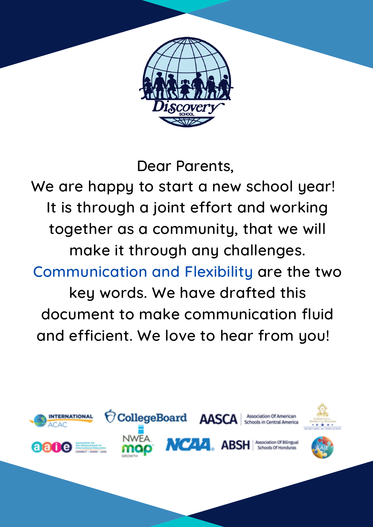

#### Dear Parents,

We are happy to start a new school year! It is through a joint effort and working together as a community, that we will make it through any challenges. Communication and Flexibility are the two

key words. We have drafted this document to make communication fluid and efficient. We love to hear from you!

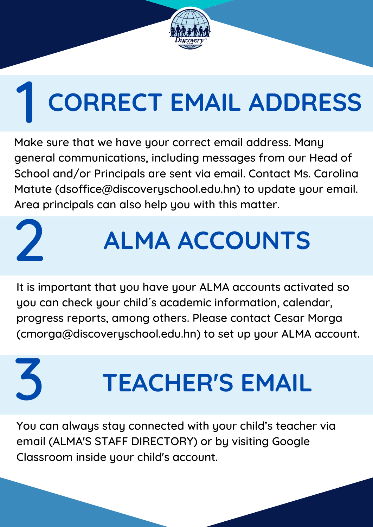Make sure that we have your correct email address. Many general communications, including messages from our Head of School and/or Principals are sent via email. Contact Ms. Carolina Matute (dsoffice@discoveryschool.edu.hn) to update your email. Area principals can also help you with this matter.

### 3 **TEACHER'S EMAIL**

It is important that you have your ALMA accounts activated so you can check your child´ s academic information, calendar, progress reports, among others. Please contact Cesar Morga (cmorga@discoveryschool.edu.hn) to set up your ALMA account.

You can always stay connected with your child's teacher via email (ALMA'S STAFF DIRECTORY) or by visiting Google Classroom inside your child's account.



# 1 **CORRECT EMAIL ADDRESS**

2

## **ALMA ACCOUNTS**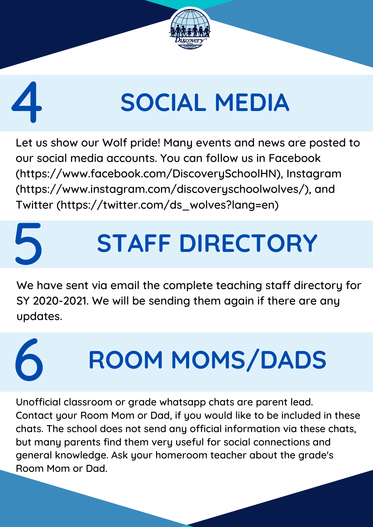

# **SOCIAL MEDIA**

4

Let us show our Wolf pride! Many events and news are posted to our social media accounts. You can follow us in Facebook (https://www.facebook.com/DiscoverySchoolHN), Instagram (https://www.instagram.com/discoveryschoolwolves/), and Twitter (https://twitter.com/ds\_wolves?lang=en)



We have sent via email the complete teaching staff directory for SY 2020-2021. We will be sending them again if there are any updates.

### 6 **ROOM MOMS/DADS**

Unofficial classroom or grade whatsapp chats are parent lead. Contact your Room Mom or Dad, if you would like to be included in these chats. The school does not send any official information via these chats, but many parents find them very useful for social connections and general knowledge. Ask your homeroom teacher about the grade's Room Mom or Dad.